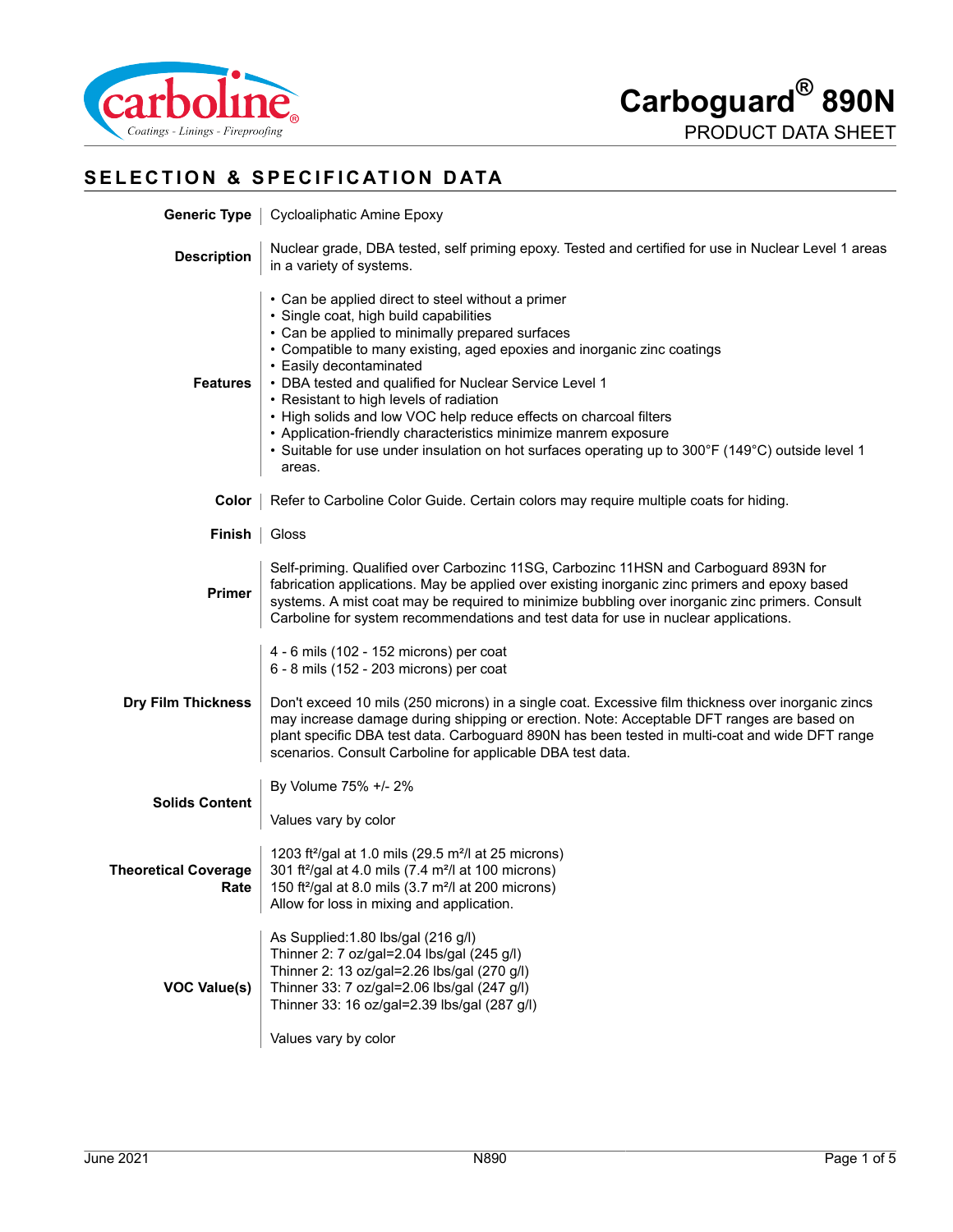

# **SELECTION & SPECIFICATION DATA**

|                                                                                                                                                                                                                                                                                                                                                                                                 | <b>Generic Type</b>   Cycloaliphatic Amine Epoxy                                                                                                                                                                                                                                                                                                                                                                                                                                                                                                                                                                 |  |  |
|-------------------------------------------------------------------------------------------------------------------------------------------------------------------------------------------------------------------------------------------------------------------------------------------------------------------------------------------------------------------------------------------------|------------------------------------------------------------------------------------------------------------------------------------------------------------------------------------------------------------------------------------------------------------------------------------------------------------------------------------------------------------------------------------------------------------------------------------------------------------------------------------------------------------------------------------------------------------------------------------------------------------------|--|--|
| <b>Description</b>                                                                                                                                                                                                                                                                                                                                                                              | Nuclear grade, DBA tested, self priming epoxy. Tested and certified for use in Nuclear Level 1 areas<br>in a variety of systems.                                                                                                                                                                                                                                                                                                                                                                                                                                                                                 |  |  |
| <b>Features</b>                                                                                                                                                                                                                                                                                                                                                                                 | • Can be applied direct to steel without a primer<br>· Single coat, high build capabilities<br>• Can be applied to minimally prepared surfaces<br>• Compatible to many existing, aged epoxies and inorganic zinc coatings<br>• Easily decontaminated<br>• DBA tested and qualified for Nuclear Service Level 1<br>• Resistant to high levels of radiation<br>• High solids and low VOC help reduce effects on charcoal filters<br>• Application-friendly characteristics minimize manrem exposure<br>• Suitable for use under insulation on hot surfaces operating up to 300°F (149°C) outside level 1<br>areas. |  |  |
|                                                                                                                                                                                                                                                                                                                                                                                                 | <b>Color</b>   Refer to Carboline Color Guide. Certain colors may require multiple coats for hiding.                                                                                                                                                                                                                                                                                                                                                                                                                                                                                                             |  |  |
| Finish   Gloss                                                                                                                                                                                                                                                                                                                                                                                  |                                                                                                                                                                                                                                                                                                                                                                                                                                                                                                                                                                                                                  |  |  |
| Self-priming. Qualified over Carbozinc 11SG, Carbozinc 11HSN and Carboguard 893N for<br>fabrication applications. May be applied over existing inorganic zinc primers and epoxy based<br><b>Primer</b><br>systems. A mist coat may be required to minimize bubbling over inorganic zinc primers. Consult<br>Carboline for system recommendations and test data for use in nuclear applications. |                                                                                                                                                                                                                                                                                                                                                                                                                                                                                                                                                                                                                  |  |  |
| <b>Dry Film Thickness</b>                                                                                                                                                                                                                                                                                                                                                                       | 4 - 6 mils (102 - 152 microns) per coat<br>6 - 8 mils (152 - 203 microns) per coat<br>Don't exceed 10 mils (250 microns) in a single coat. Excessive film thickness over inorganic zincs<br>may increase damage during shipping or erection. Note: Acceptable DFT ranges are based on<br>plant specific DBA test data. Carboguard 890N has been tested in multi-coat and wide DFT range<br>scenarios. Consult Carboline for applicable DBA test data.                                                                                                                                                            |  |  |
| <b>Solids Content</b>                                                                                                                                                                                                                                                                                                                                                                           | By Volume 75% +/- 2%                                                                                                                                                                                                                                                                                                                                                                                                                                                                                                                                                                                             |  |  |
| Values vary by color<br>1203 ft <sup>2</sup> /gal at 1.0 mils (29.5 m <sup>2</sup> /l at 25 microns)<br><b>Theoretical Coverage</b><br>301 ft <sup>2</sup> /gal at 4.0 mils (7.4 m <sup>2</sup> /l at 100 microns)<br>150 ft <sup>2</sup> /gal at 8.0 mils (3.7 m <sup>2</sup> /l at 200 microns)<br>Rate<br>Allow for loss in mixing and application.                                          |                                                                                                                                                                                                                                                                                                                                                                                                                                                                                                                                                                                                                  |  |  |
| <b>VOC Value(s)</b>                                                                                                                                                                                                                                                                                                                                                                             | As Supplied:1.80 lbs/gal (216 g/l)<br>Thinner 2: 7 oz/gal=2.04 lbs/gal (245 g/l)<br>Thinner 2: 13 oz/gal=2.26 lbs/gal (270 g/l)<br>Thinner 33: 7 oz/gal=2.06 lbs/gal (247 g/l)<br>Thinner 33: 16 oz/gal=2.39 lbs/gal (287 g/l)<br>Values vary by color                                                                                                                                                                                                                                                                                                                                                           |  |  |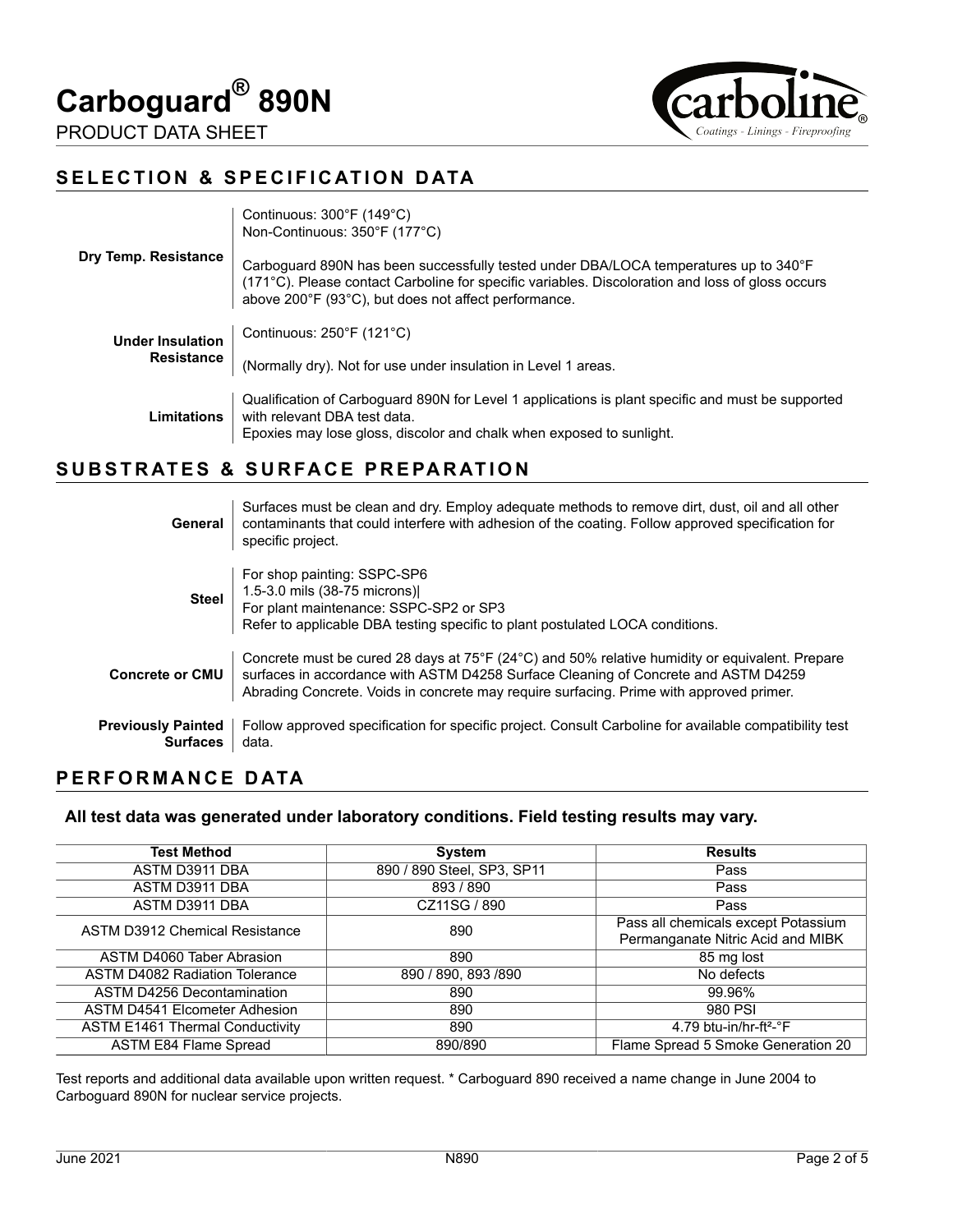





# **SELECTION & SPECIFICATION DATA**

|                                              | Continuous: $300^{\circ}$ F (149 $^{\circ}$ C)<br>Non-Continuous: 350°F (177°C)                                                                                                                                                                  |
|----------------------------------------------|--------------------------------------------------------------------------------------------------------------------------------------------------------------------------------------------------------------------------------------------------|
| Dry Temp. Resistance                         | Carboquard 890N has been successfully tested under DBA/LOCA temperatures up to 340°F<br>(171°C). Please contact Carboline for specific variables. Discoloration and loss of gloss occurs<br>above 200°F (93°C), but does not affect performance. |
| <b>Under Insulation</b><br><b>Resistance</b> | Continuous: $250^{\circ}F(121^{\circ}C)$                                                                                                                                                                                                         |
|                                              | (Normally dry). Not for use under insulation in Level 1 areas.                                                                                                                                                                                   |
| Limitations                                  | Qualification of Carboguard 890N for Level 1 applications is plant specific and must be supported<br>with relevant DBA test data.<br>Epoxies may lose gloss, discolor and chalk when exposed to sunlight.                                        |

## **SUBSTRATES & SURFACE PREPARATION**

| General                                      | Surfaces must be clean and dry. Employ adequate methods to remove dirt, dust, oil and all other<br>contaminants that could interfere with adhesion of the coating. Follow approved specification for<br>specific project.                                                       |
|----------------------------------------------|---------------------------------------------------------------------------------------------------------------------------------------------------------------------------------------------------------------------------------------------------------------------------------|
| <b>Steel</b>                                 | For shop painting: SSPC-SP6<br>1.5-3.0 mils (38-75 microns)<br>For plant maintenance: SSPC-SP2 or SP3<br>Refer to applicable DBA testing specific to plant postulated LOCA conditions.                                                                                          |
| <b>Concrete or CMU</b>                       | Concrete must be cured 28 days at 75°F (24°C) and 50% relative humidity or equivalent. Prepare<br>surfaces in accordance with ASTM D4258 Surface Cleaning of Concrete and ASTM D4259<br>Abrading Concrete. Voids in concrete may require surfacing. Prime with approved primer. |
| <b>Previously Painted</b><br><b>Surfaces</b> | Follow approved specification for specific project. Consult Carboline for available compatibility test<br>data.                                                                                                                                                                 |

#### **PERFORMANCE DATA**

#### **All test data was generated under laboratory conditions. Field testing results may vary.**

| <b>Test Method</b>                     | <b>System</b>              | <b>Results</b>                      |
|----------------------------------------|----------------------------|-------------------------------------|
| ASTM D3911 DBA                         | 890 / 890 Steel, SP3, SP11 | Pass                                |
| ASTM D3911 DBA                         | 893 / 890                  | Pass                                |
| ASTM D3911 DBA                         | CZ11SG / 890               | Pass                                |
| <b>ASTM D3912 Chemical Resistance</b>  | 890                        | Pass all chemicals except Potassium |
|                                        |                            | Permanganate Nitric Acid and MIBK   |
| ASTM D4060 Taber Abrasion              | 890                        | 85 mg lost                          |
| <b>ASTM D4082 Radiation Tolerance</b>  | 890 / 890, 893 / 890       | No defects                          |
| ASTM D4256 Decontamination             | 890                        | 99.96%                              |
| <b>ASTM D4541 Elcometer Adhesion</b>   | 890                        | 980 PSI                             |
| <b>ASTM E1461 Thermal Conductivity</b> | 890                        | 4.79 btu-in/hr-ft <sup>2</sup> -°F  |
| <b>ASTM E84 Flame Spread</b>           | 890/890                    | Flame Spread 5 Smoke Generation 20  |

Test reports and additional data available upon written request. \* Carboguard 890 received a name change in June 2004 to Carboguard 890N for nuclear service projects.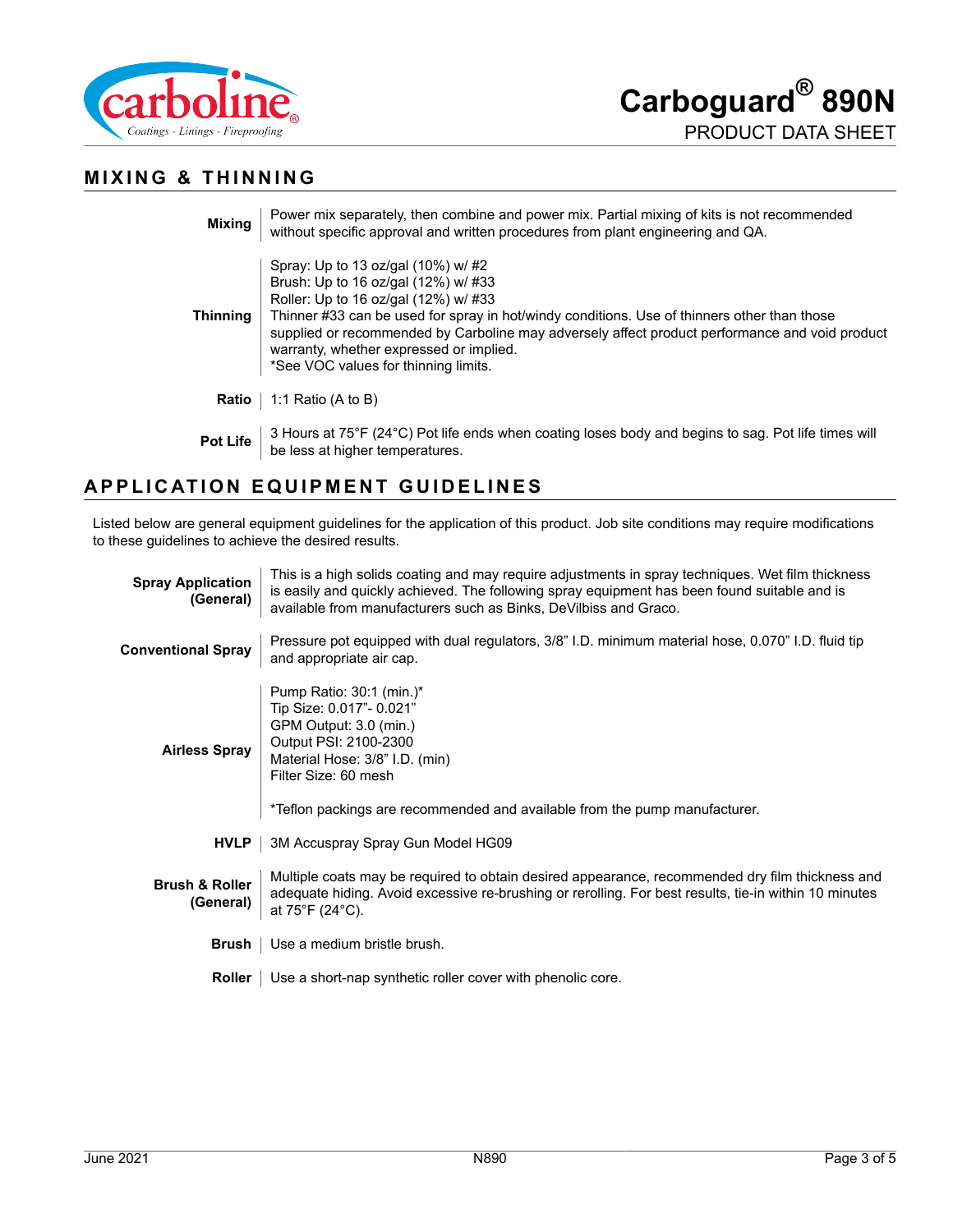

## **MIXING & THINNING**

| <b>Mixing</b>   | Power mix separately, then combine and power mix. Partial mixing of kits is not recommended<br>without specific approval and written procedures from plant engineering and QA.                                                                                                                                                                                                                       |
|-----------------|------------------------------------------------------------------------------------------------------------------------------------------------------------------------------------------------------------------------------------------------------------------------------------------------------------------------------------------------------------------------------------------------------|
| <b>Thinning</b> | Spray: Up to 13 oz/gal (10%) w/#2<br>Brush: Up to 16 oz/gal (12%) w/ #33<br>Roller: Up to 16 oz/gal (12%) w/ #33<br>Thinner #33 can be used for spray in hot/windy conditions. Use of thinners other than those<br>supplied or recommended by Carboline may adversely affect product performance and void product<br>warranty, whether expressed or implied.<br>*See VOC values for thinning limits. |
| Ratio           | 1:1 Ratio (A to B)                                                                                                                                                                                                                                                                                                                                                                                   |
| <b>Pot Life</b> | 3 Hours at 75°F (24°C) Pot life ends when coating loses body and begins to sag. Pot life times will<br>be less at higher temperatures.                                                                                                                                                                                                                                                               |

# **APPLICATION EQUIPMENT GUIDELINES**

Listed below are general equipment guidelines for the application of this product. Job site conditions may require modifications to these guidelines to achieve the desired results.

| <b>Spray Application</b><br>(General)                                                                                                                                                                                                                                 | This is a high solids coating and may require adjustments in spray techniques. Wet film thickness<br>is easily and quickly achieved. The following spray equipment has been found suitable and is<br>available from manufacturers such as Binks, DeVilbiss and Graco. |  |  |
|-----------------------------------------------------------------------------------------------------------------------------------------------------------------------------------------------------------------------------------------------------------------------|-----------------------------------------------------------------------------------------------------------------------------------------------------------------------------------------------------------------------------------------------------------------------|--|--|
| <b>Conventional Spray</b>                                                                                                                                                                                                                                             | Pressure pot equipped with dual regulators, 3/8" I.D. minimum material hose, 0.070" I.D. fluid tip<br>and appropriate air cap.                                                                                                                                        |  |  |
| <b>Airless Spray</b>                                                                                                                                                                                                                                                  | Pump Ratio: 30:1 (min.)*<br>Tip Size: 0.017"- 0.021"<br>GPM Output: 3.0 (min.)<br>Output PSI: 2100-2300<br>Material Hose: 3/8" I.D. (min)<br>Filter Size: 60 mesh<br>*Teflon packings are recommended and available from the pump manufacturer.                       |  |  |
| <b>HVLP</b>                                                                                                                                                                                                                                                           | 3M Accuspray Spray Gun Model HG09                                                                                                                                                                                                                                     |  |  |
| Multiple coats may be required to obtain desired appearance, recommended dry film thickness and<br><b>Brush &amp; Roller</b><br>adequate hiding. Avoid excessive re-brushing or rerolling. For best results, tie-in within 10 minutes<br>(General)<br>at 75°F (24°C). |                                                                                                                                                                                                                                                                       |  |  |
|                                                                                                                                                                                                                                                                       | <b>Brush</b>   Use a medium bristle brush.                                                                                                                                                                                                                            |  |  |
| <b>Roller</b>                                                                                                                                                                                                                                                         | Use a short-nap synthetic roller cover with phenolic core.                                                                                                                                                                                                            |  |  |
|                                                                                                                                                                                                                                                                       |                                                                                                                                                                                                                                                                       |  |  |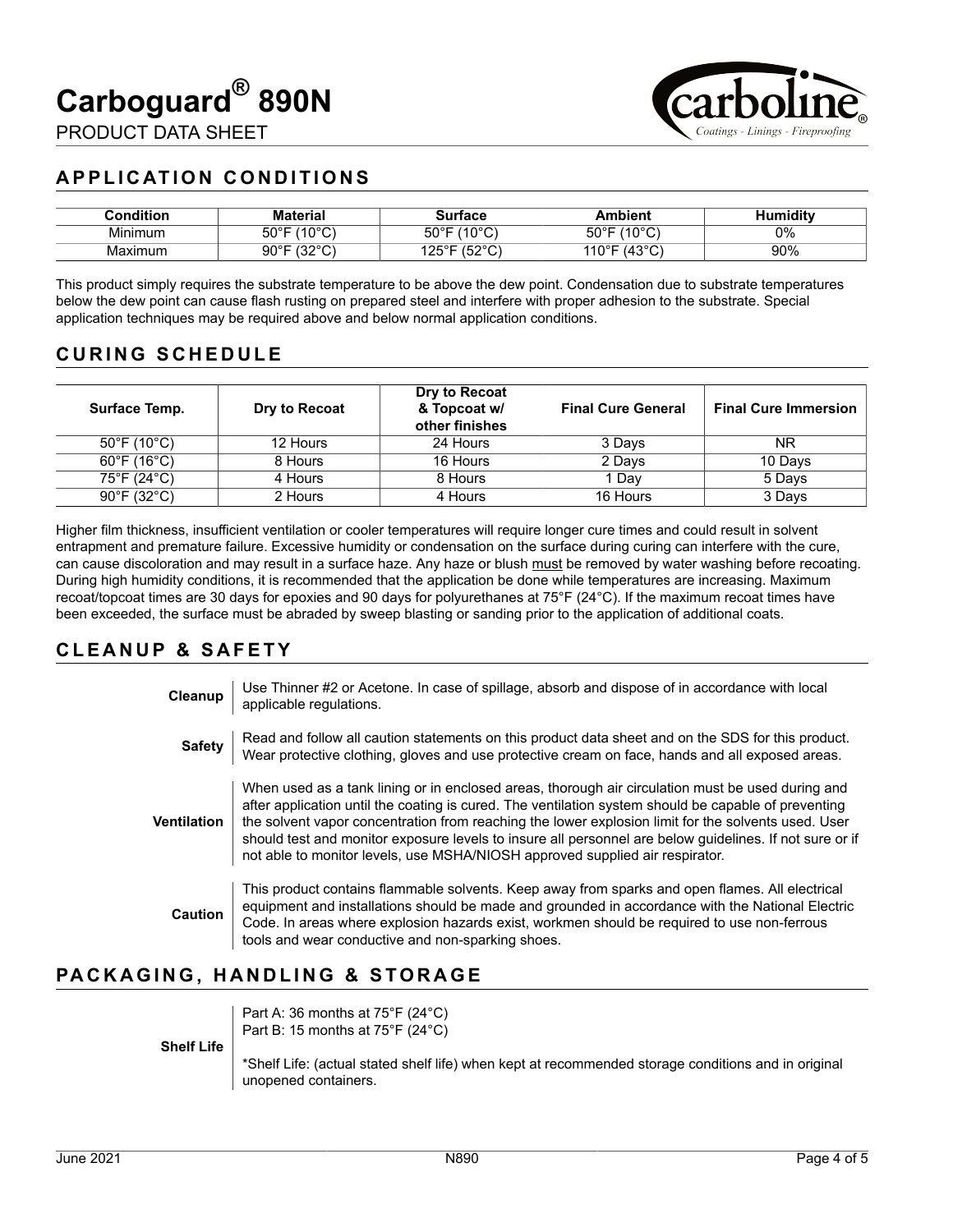

PRODUCT DATA SHEET

# **APPLICATION CONDITIONS**

| ۔ondition | Material                     | Surface                                         | Ambient                     | Humiditv |
|-----------|------------------------------|-------------------------------------------------|-----------------------------|----------|
| Minimum   | 1400C<br>$50^{\circ}$ F<br>◡ | $(10^{\circ}$ C<br>$50^{\circ}$ F<br>ັ          | (100)<br>$50^{\circ}$ F     | 0%       |
| Maximum   | 1000<br>90°F<br>ັ<br>ັ       | $\sqrt{2}$<br>125° $\Gamma$<br>ັ<br>JZ<br>ں ے ، | $\sim$<br>110°F<br>ن+'<br>ັ | 90%      |

This product simply requires the substrate temperature to be above the dew point. Condensation due to substrate temperatures below the dew point can cause flash rusting on prepared steel and interfere with proper adhesion to the substrate. Special application techniques may be required above and below normal application conditions.

# **CURING SCHEDULE**

| Surface Temp.                    | Dry to Recoat | Dry to Recoat<br>& Topcoat w/<br>other finishes | <b>Final Cure General</b> | <b>Final Cure Immersion</b> |
|----------------------------------|---------------|-------------------------------------------------|---------------------------|-----------------------------|
| $50^{\circ}$ F (10 $^{\circ}$ C) | 12 Hours      | 24 Hours                                        | 3 Days                    | ΝR                          |
| $60^{\circ}$ F (16 $^{\circ}$ C) | 8 Hours       | 16 Hours                                        | 2 Days                    | 10 Days                     |
| 75°F (24°C)                      | 4 Hours       | 8 Hours                                         | 1 Dav                     | 5 Days                      |
| $90^{\circ}$ F (32 $^{\circ}$ C) | 2 Hours       | 4 Hours                                         | 16 Hours                  | 3 Days                      |

Higher film thickness, insufficient ventilation or cooler temperatures will require longer cure times and could result in solvent entrapment and premature failure. Excessive humidity or condensation on the surface during curing can interfere with the cure, can cause discoloration and may result in a surface haze. Any haze or blush must be removed by water washing before recoating. During high humidity conditions, it is recommended that the application be done while temperatures are increasing. Maximum recoat/topcoat times are 30 days for epoxies and 90 days for polyurethanes at 75°F (24°C). If the maximum recoat times have been exceeded, the surface must be abraded by sweep blasting or sanding prior to the application of additional coats.

# **CLEANUP & SAFETY**

| Cleanup            | Use Thinner #2 or Acetone. In case of spillage, absorb and dispose of in accordance with local<br>applicable regulations.                                                                                                                                                                                                                                                                                                                                                                                   |
|--------------------|-------------------------------------------------------------------------------------------------------------------------------------------------------------------------------------------------------------------------------------------------------------------------------------------------------------------------------------------------------------------------------------------------------------------------------------------------------------------------------------------------------------|
| <b>Safety</b>      | Read and follow all caution statements on this product data sheet and on the SDS for this product.<br>Wear protective clothing, gloves and use protective cream on face, hands and all exposed areas.                                                                                                                                                                                                                                                                                                       |
| <b>Ventilation</b> | When used as a tank lining or in enclosed areas, thorough air circulation must be used during and<br>after application until the coating is cured. The ventilation system should be capable of preventing<br>the solvent vapor concentration from reaching the lower explosion limit for the solvents used. User<br>should test and monitor exposure levels to insure all personnel are below quidelines. If not sure or if<br>not able to monitor levels, use MSHA/NIOSH approved supplied air respirator. |
| <b>Caution</b>     | This product contains flammable solvents. Keep away from sparks and open flames. All electrical<br>equipment and installations should be made and grounded in accordance with the National Electric<br>Code. In areas where explosion hazards exist, workmen should be required to use non-ferrous<br>tools and wear conductive and non-sparking shoes.                                                                                                                                                     |

# **PACKAGING, HANDLING & STORAGE**

|                   | Part A: 36 months at $75^{\circ}F(24^{\circ}C)$<br>Part B: 15 months at $75^{\circ}$ F (24 $^{\circ}$ C) |
|-------------------|----------------------------------------------------------------------------------------------------------|
|                   |                                                                                                          |
| <b>Shelf Life</b> |                                                                                                          |
|                   | *Shelf Life: (actual stated shelf life) when kept at recommended storage conditions and in original      |
|                   | unopened containers.                                                                                     |